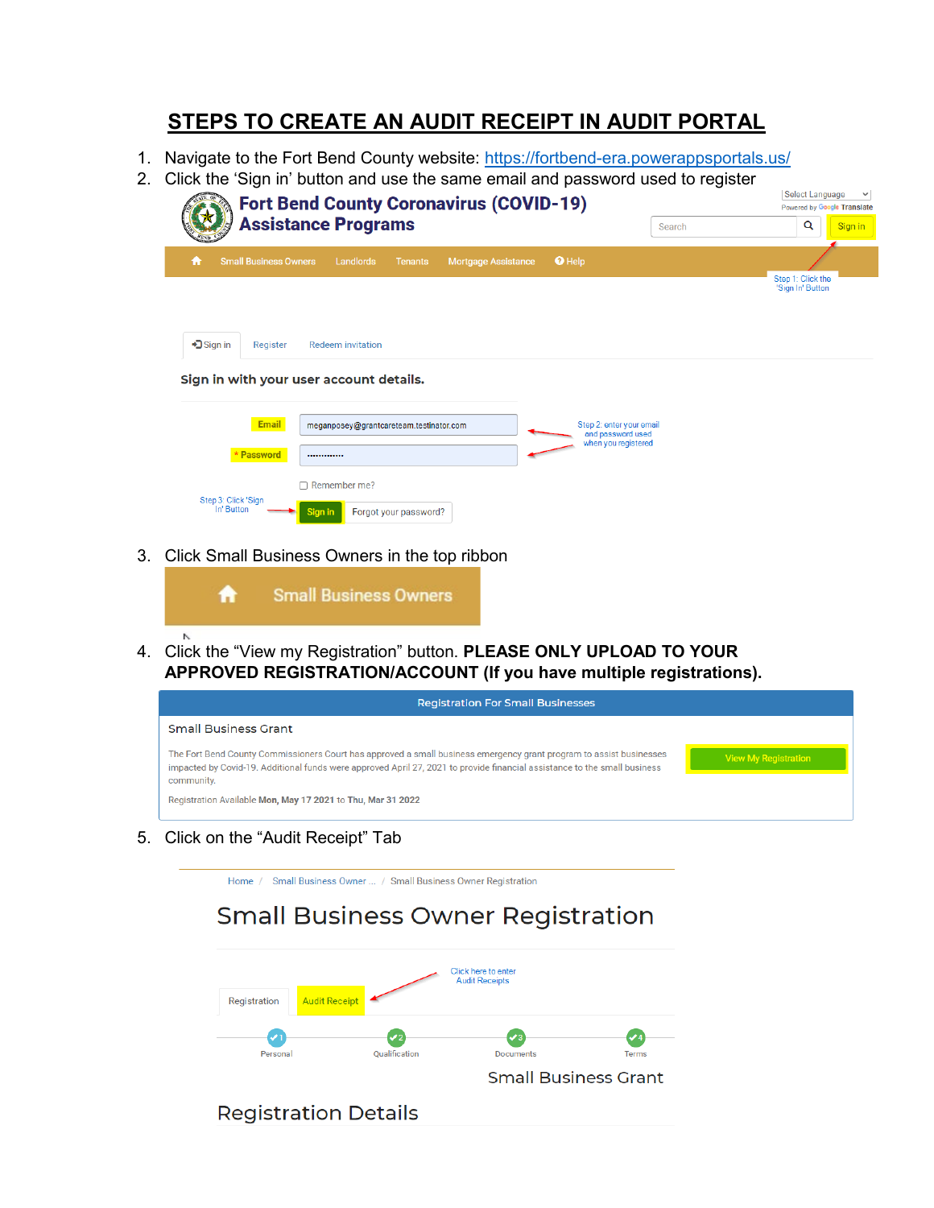### **STEPS TO CREATE AN AUDIT RECEIPT IN AUDIT PORTAL**

- 1. Navigate to the Fort Bend County website:<https://fortbend-era.powerappsportals.us/>
- 2. Click the 'Sign in' button and use the same email and password used to register

| <b>Fort Bend County Coronavirus (COVID-19)</b>                                                                                  | <b>Select Language</b><br>$\checkmark$<br>Powered by Google Translate |
|---------------------------------------------------------------------------------------------------------------------------------|-----------------------------------------------------------------------|
| <b>Assistance Programs</b><br>Search                                                                                            | Q<br>Sign in                                                          |
| <b>O</b> Help<br><b>Small Business Owners</b><br>Landlords<br><b>Mortgage Assistance</b><br><b>Tenants</b><br>n                 | Step 1: Click the                                                     |
|                                                                                                                                 | 'Sign In' Button                                                      |
| $\bigtriangledown$ Sign in<br>Register<br><b>Redeem invitation</b>                                                              |                                                                       |
| Sign in with your user account details.                                                                                         |                                                                       |
|                                                                                                                                 |                                                                       |
| <b>Email</b><br>Step 2: enter your email<br>meganposey@grantcareteam.testinator.com<br>and password used<br>when you registered |                                                                       |
| * Password<br>                                                                                                                  |                                                                       |
| $\Box$ Remember me?                                                                                                             |                                                                       |
| Step 3: Click 'Sign<br>In' Button<br>Forgot your password?<br>Sign in                                                           |                                                                       |

3. Click Small Business Owners in the top ribbon



4. Click the "View my Registration" button. **PLEASE ONLY UPLOAD TO YOUR APPROVED REGISTRATION/ACCOUNT (If you have multiple registrations).**



5. Click on the "Audit Receipt" Tab

Home / Small Business Owner ... / Small Business Owner Registration

## **Small Business Owner Registration**

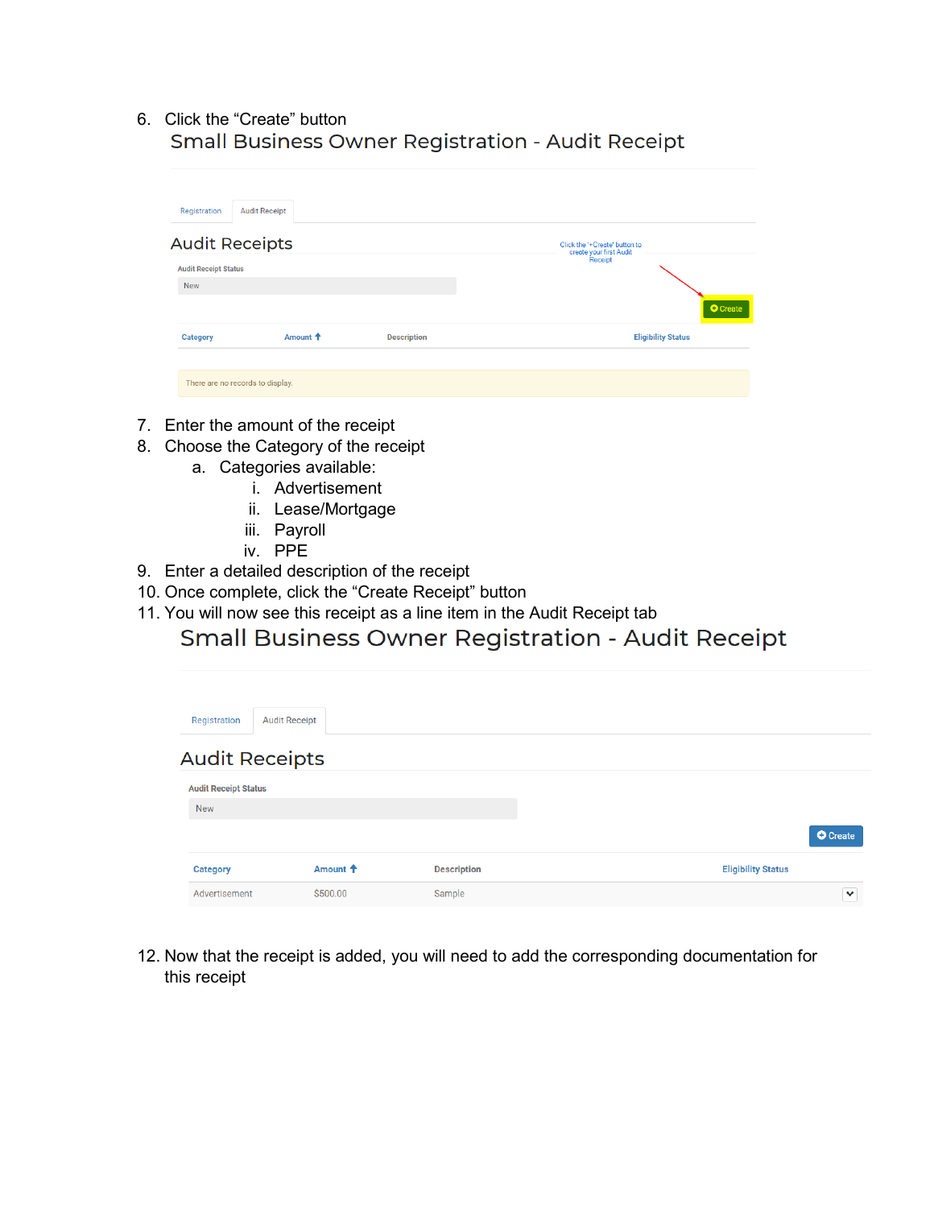# 6. Click the "Create" button

| Registration                     | <b>Audit Receipt</b> |                    |                                                          |
|----------------------------------|----------------------|--------------------|----------------------------------------------------------|
| <b>Audit Receipts</b>            |                      |                    | Click the '+Create' button to<br>create your first Audit |
| <b>Audit Receipt Status</b>      |                      |                    | Receipt                                                  |
| <b>New</b>                       |                      |                    |                                                          |
|                                  |                      |                    | <b>O</b> Create                                          |
| Category                         | Amount <sup>+</sup>  | <b>Description</b> | <b>Eligibility Status</b>                                |
|                                  |                      |                    |                                                          |
| There are no records to display. |                      |                    |                                                          |

- 7. Enter the amount of the receipt
- 8. Choose the Category of the receipt
	- a. Categories available:
		- i. Advertisement
			- ii. Lease/Mortgage
		- iii. Payroll
		- iv. PPE
- 9. Enter a detailed description of the receipt
- 10. Once complete, click the "Create Receipt" button
- 

# 11. You will now see this receipt as a line item in the Audit Receipt tab<br>Small Business Owner Registration - Audit Receipt

| Registration                | <b>Audit Receipt</b> |                    |                           |
|-----------------------------|----------------------|--------------------|---------------------------|
| <b>Audit Receipts</b>       |                      |                    |                           |
| <b>Audit Receipt Status</b> |                      |                    |                           |
| <b>New</b>                  |                      |                    |                           |
|                             |                      |                    | <b>O</b> Create           |
| <b>Category</b>             | Amount <sup>+</sup>  | <b>Description</b> | <b>Eligibility Status</b> |
| Advertisement               | \$500.00             | Sample             | $\checkmark$              |

12. Now that the receipt is added, you will need to add the corresponding documentation for this receipt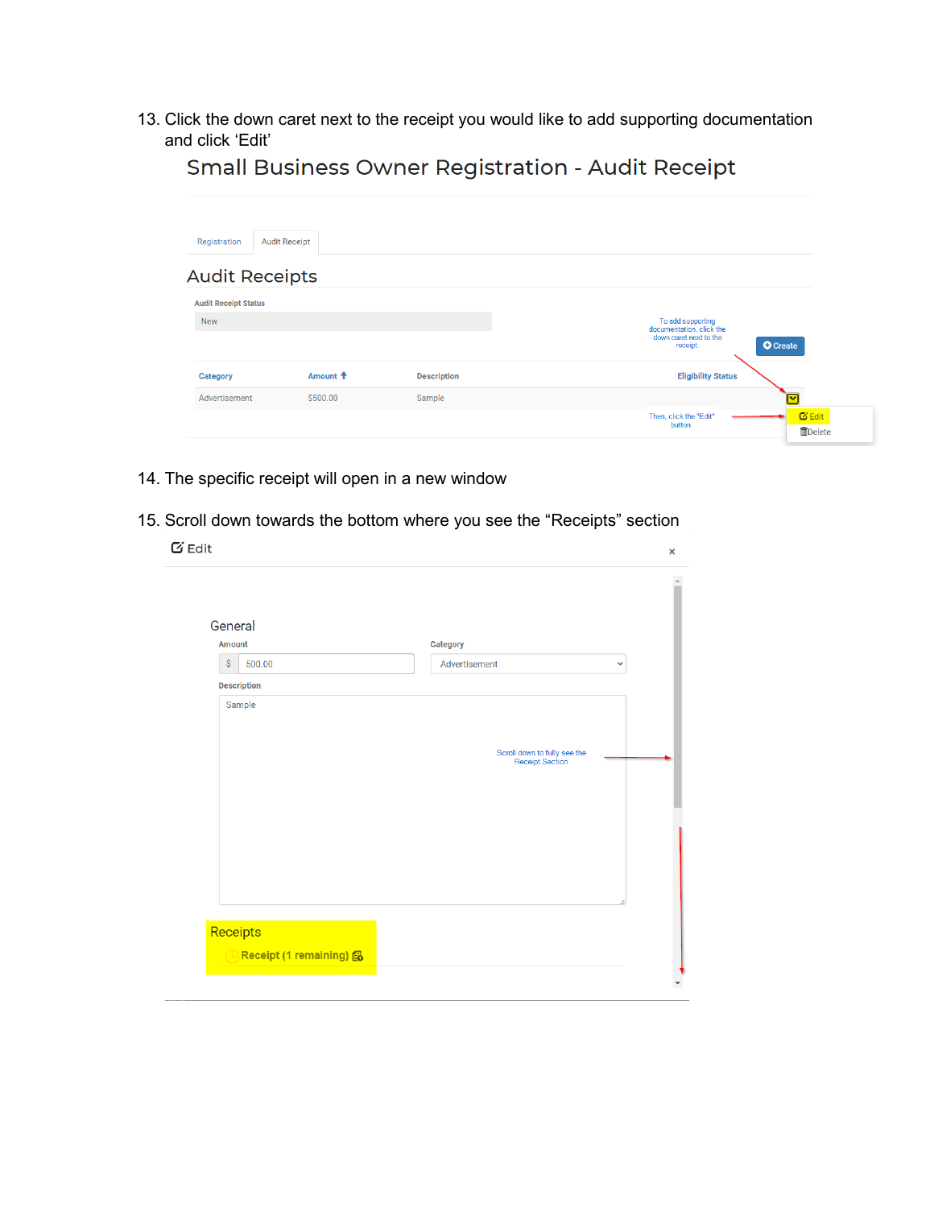13. Click the down caret next to the receipt you would like to add supporting documentation and click 'Edit'

| Registration                | <b>Audit Receipt</b>  |                    |                                                                 |
|-----------------------------|-----------------------|--------------------|-----------------------------------------------------------------|
|                             | <b>Audit Receipts</b> |                    |                                                                 |
| <b>Audit Receipt Status</b> |                       |                    |                                                                 |
| <b>New</b>                  |                       |                    | To add supporting<br>documentation, click the                   |
|                             |                       |                    | down caret next to the<br><b>O</b> Create<br>receipt.           |
| <b>Category</b>             | Amount <sup>+</sup>   | <b>Description</b> | <b>Eligibility Status</b>                                       |
| Advertisement               | \$500.00              | Sample             | $\overline{\phantom{a}}$                                        |
|                             |                       |                    | $G$ Edit<br>Then, click the "Edit"<br>button.<br><b>而Delete</b> |

Small Business Owner Registration - Audit Receipt

- 14. The specific receipt will open in a new window
- 15. Scroll down towards the bottom where you see the "Receipts" section

| General<br>Amount  |                    | Category                                        |              |
|--------------------|--------------------|-------------------------------------------------|--------------|
| $\hat{\mathsf{S}}$ | 500.00             | Advertisement                                   | $\checkmark$ |
|                    | <b>Description</b> |                                                 |              |
|                    |                    |                                                 |              |
|                    |                    | Scroll down to fully see the<br>Receipt Section |              |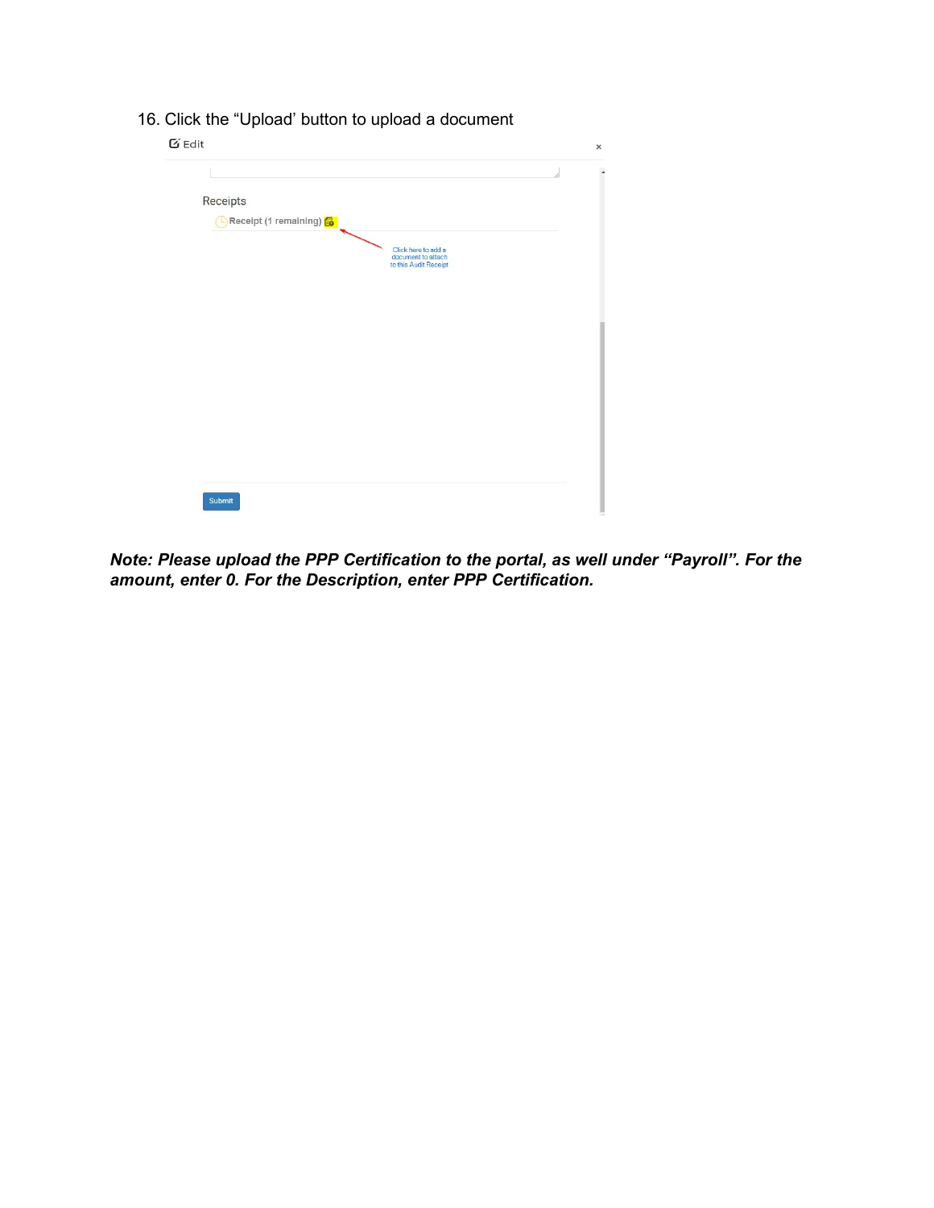|                       |                                                                    | 1. |
|-----------------------|--------------------------------------------------------------------|----|
| Receipts              |                                                                    |    |
| Receipt (1 remaining) |                                                                    |    |
|                       | Click here to add a<br>document to attach<br>to this Audit Receipt |    |
|                       |                                                                    |    |
|                       |                                                                    |    |
|                       |                                                                    |    |
|                       |                                                                    |    |
|                       |                                                                    |    |
|                       |                                                                    |    |
|                       |                                                                    |    |
|                       |                                                                    |    |
|                       |                                                                    |    |

16. Click the "Upload' button to upload a document

*Note: Please upload the PPP Certification to the portal, as well under "Payroll". For the amount, enter 0. For the Description, enter PPP Certification.*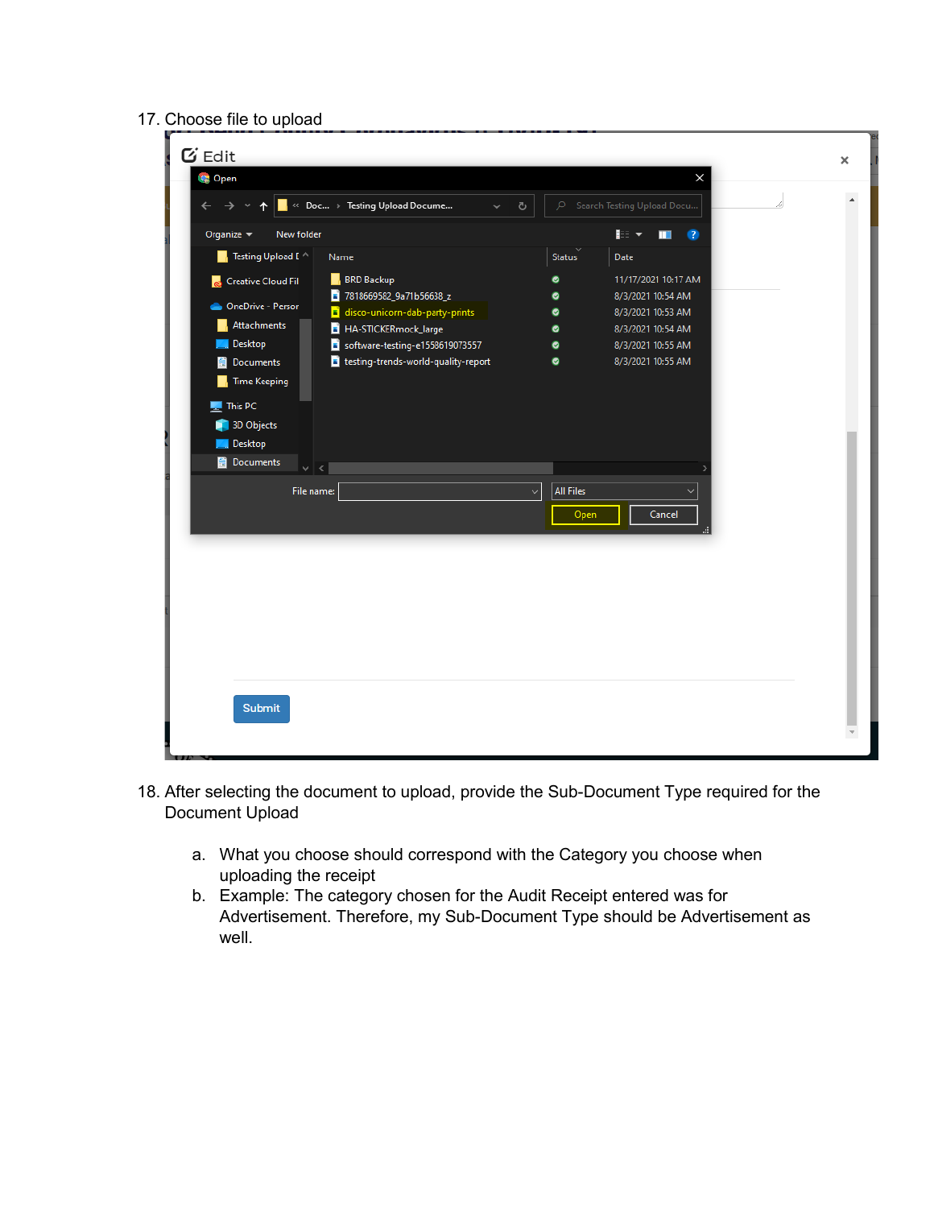#### 17. Choose file to upload

| $\blacksquare_i \ll \textsf{Doc} \rightarrow \textsf{Testing Upload Document}.$<br>Search Testing Upload Docu<br>$\leftarrow$<br>Q<br>Ō<br>$\rightarrow$<br>$\checkmark$<br><b>IEE</b><br>New folder<br>Organize $\blacktriangledown$<br>$\bullet$<br>ш<br>Testing Upload [<br>Date<br>Name<br>Status<br>ш.<br><b>BRD Backup</b><br>11/17/2021 10:17 AM<br>$\bullet$<br>Creative Cloud Fil<br>7818669582_9a71b56638_z<br>8/3/2021 10:54 AM<br>۰<br><b>ConeDrive - Person</b><br>disco-unicorn-dab-party-prints<br>8/3/2021 10:53 AM<br>۰<br>Attachments<br>HA-STICKERmock_large<br>8/3/2021 10:54 AM<br>۰<br><b>Desktop</b><br>software-testing-e1558619073557<br>8/3/2021 10:55 AM<br>۰<br>testing-trends-world-quality-report<br>8/3/2021 10:55 AM<br>$\bullet$<br><b>图 Documents</b><br><b>Time Keeping</b><br>$\blacksquare$ This PC<br>3D Objects<br><b>Desktop</b><br><b>ED</b> Documents<br>$\vee$ $\leq$<br>All Files<br>File name:<br>$\checkmark$<br>Open<br>Cancel | <b>Open</b> | X |  |
|-------------------------------------------------------------------------------------------------------------------------------------------------------------------------------------------------------------------------------------------------------------------------------------------------------------------------------------------------------------------------------------------------------------------------------------------------------------------------------------------------------------------------------------------------------------------------------------------------------------------------------------------------------------------------------------------------------------------------------------------------------------------------------------------------------------------------------------------------------------------------------------------------------------------------------------------------------------------------------|-------------|---|--|
|                                                                                                                                                                                                                                                                                                                                                                                                                                                                                                                                                                                                                                                                                                                                                                                                                                                                                                                                                                               |             |   |  |
|                                                                                                                                                                                                                                                                                                                                                                                                                                                                                                                                                                                                                                                                                                                                                                                                                                                                                                                                                                               |             |   |  |
|                                                                                                                                                                                                                                                                                                                                                                                                                                                                                                                                                                                                                                                                                                                                                                                                                                                                                                                                                                               |             |   |  |
|                                                                                                                                                                                                                                                                                                                                                                                                                                                                                                                                                                                                                                                                                                                                                                                                                                                                                                                                                                               |             |   |  |

- 18. After selecting the document to upload, provide the Sub-Document Type required for the Document Upload
	- a. What you choose should correspond with the Category you choose when uploading the receipt
	- b. Example: The category chosen for the Audit Receipt entered was for Advertisement. Therefore, my Sub-Document Type should be Advertisement as well.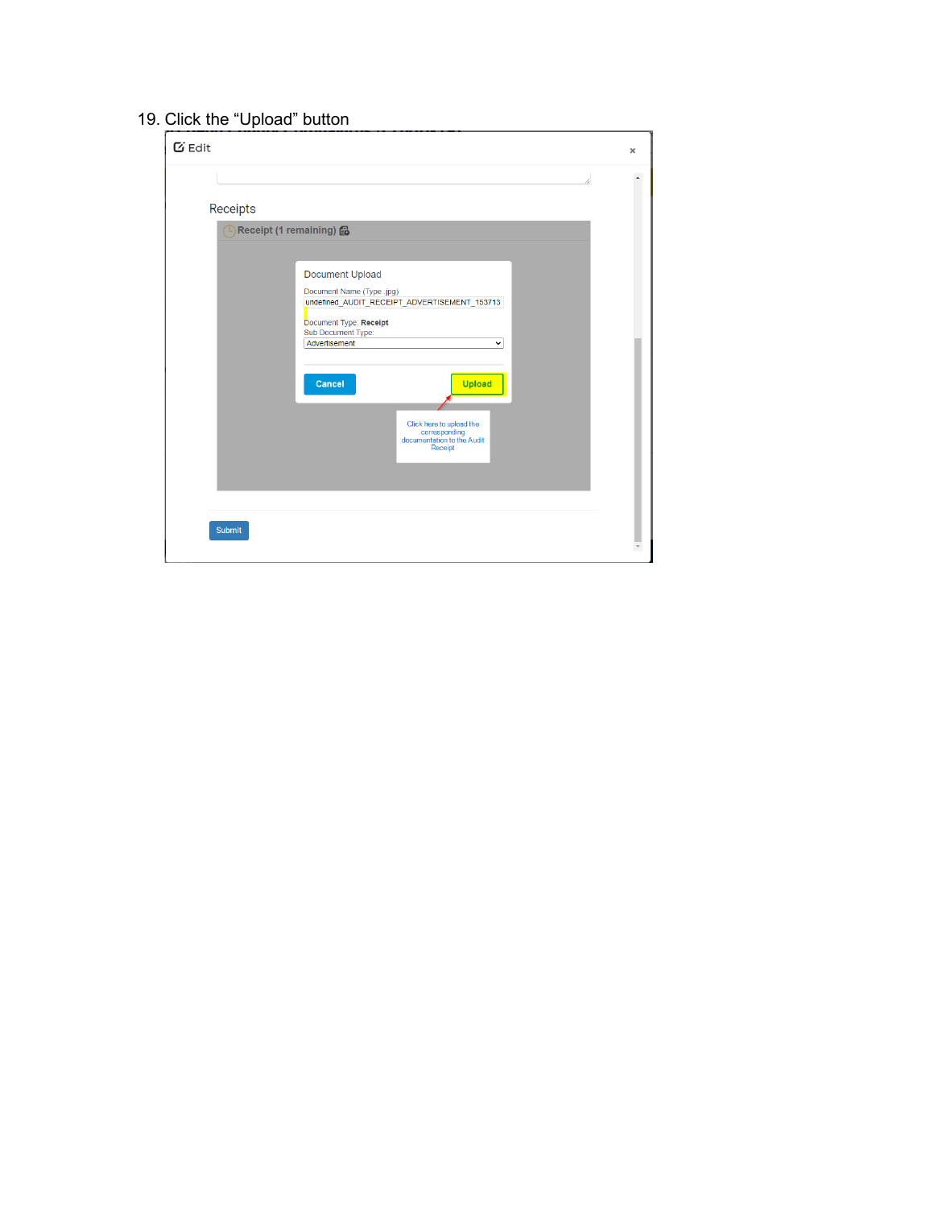### 19. Click the "Upload" button

| $G$ Edit                            |                                                                                                                                                                                                                | $\pmb{\times}$ |
|-------------------------------------|----------------------------------------------------------------------------------------------------------------------------------------------------------------------------------------------------------------|----------------|
| Receipts<br>Receipt (1 remaining) 6 | <b>Document Upload</b><br>Document Name (Type .jpg)<br>undefined_AUDIT_RECEIPT_ADVERTISEMENT_153713<br>Document Type: Receipt<br>Sub Document Type:<br>Advertisement<br>$\check{ }$<br>Cancel<br><b>Upload</b> |                |
| <b>Submit</b>                       | Click here to upload the<br>corresponding<br>documentation to the Audit<br>Receipt                                                                                                                             |                |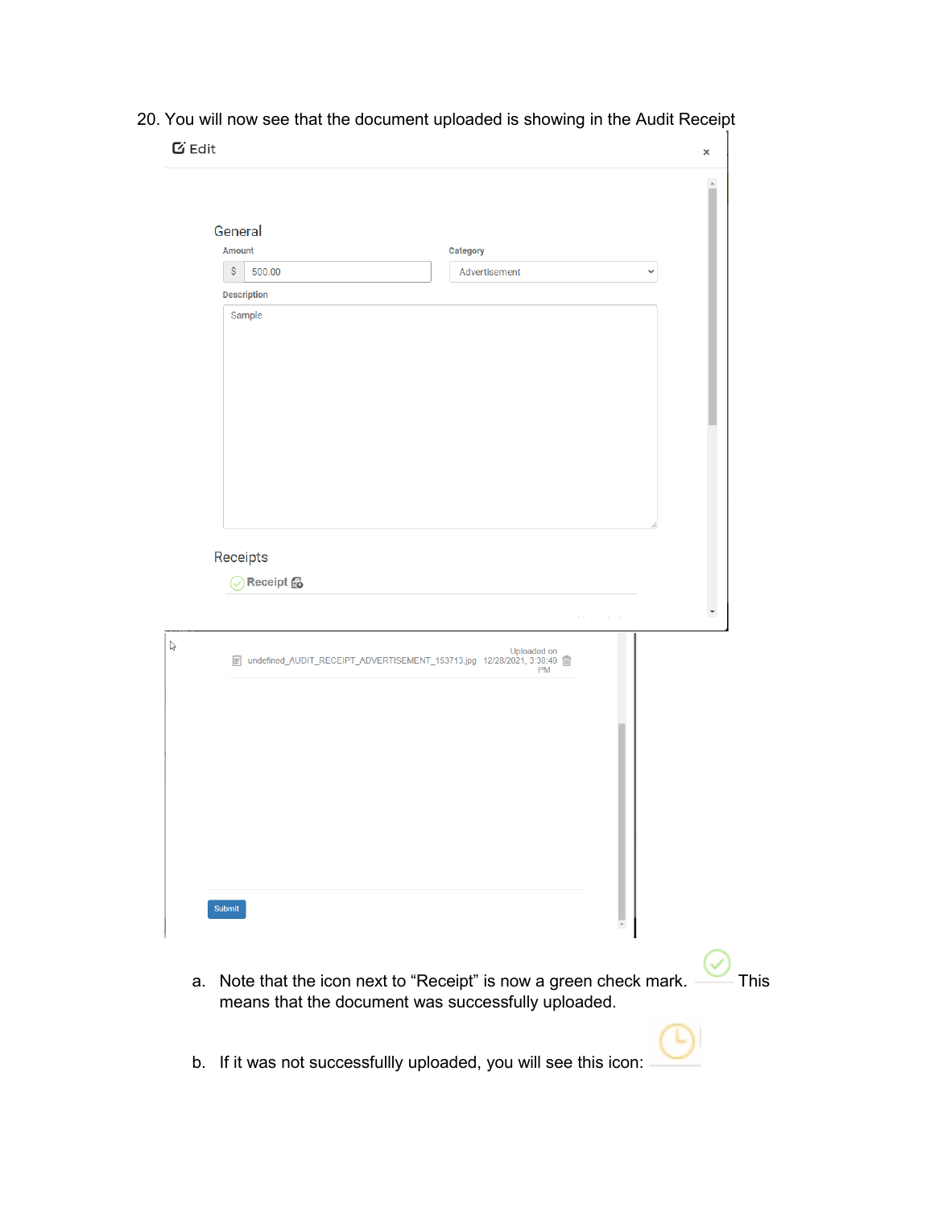